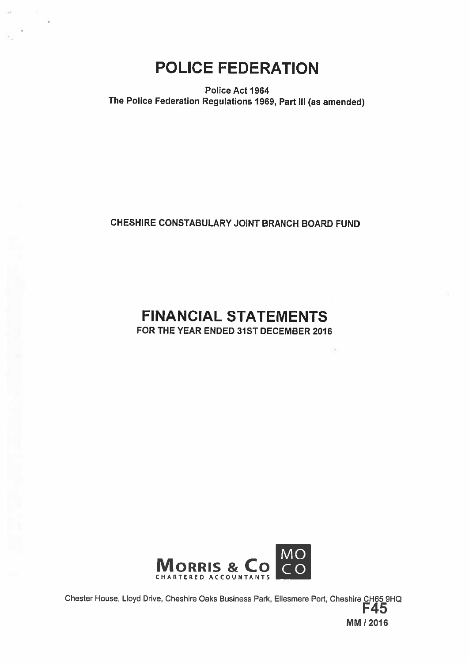POLICE FEDERATION

Police Act 1964 The Police Federation Regulations 1969, Part III (as amended)

## CHESHIRE CONSTABULARY JOINT BRANCH BOARD FUND

# FINANCIAL STATEMENTS FOR THE YEAR ENDED 31ST DECEMBER 2016



Chester House, Lloyd Drive, Cheshire Oaks Business Park, Ellesmere Port, Cheshire CH65 9HQ<br>F45 MM 12016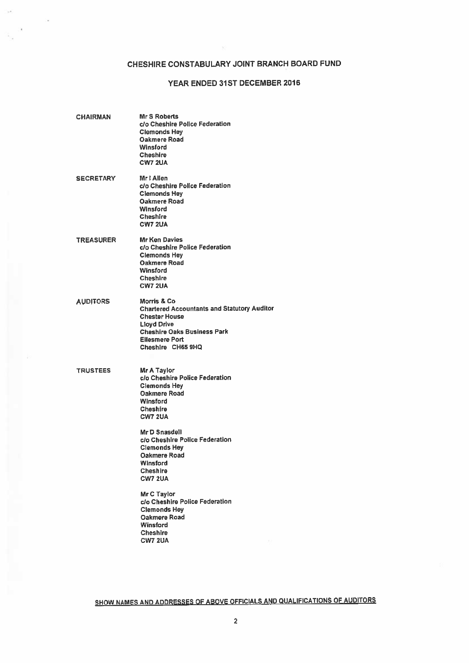## CHESHIRE CONSTABULARY JOINT BRANCH BOARD FUND

## YEAR ENDED 31ST DECEMBER 2016

| CHAIRMAN         | Mr S Roberts<br>c/o Cheshire Police Federation<br><b>Clemonds Hey</b><br>Oakmere Road<br>Winsford<br><b>Cheshire</b><br>CW7 2UA                                                                                                                                           |
|------------------|---------------------------------------------------------------------------------------------------------------------------------------------------------------------------------------------------------------------------------------------------------------------------|
| <b>SECRETARY</b> | Mr I Allen<br>c/o Cheshire Police Federation<br><b>Clemonds Hey</b><br>Oakmere Road<br>Winsford<br>Cheshire<br><b>CW7 2UA</b>                                                                                                                                             |
| <b>TREASURER</b> | <b>Mr Ken Davies</b><br>c/o Cheshire Police Federation<br><b>Clemonds Hey</b><br>Oakmere Road<br><b>Winsford</b><br><b>Cheshire</b><br><b>CW7 2UA</b>                                                                                                                     |
| <b>AUDITORS</b>  | Morris & Co.<br><b>Chartered Accountants and Statutory Auditor</b><br><b>Chester House</b><br><b>Lloyd Drive</b><br><b>Cheshire Oaks Business Park</b><br><b>Ellesmere Port</b><br>Cheshire CH65 9HQ                                                                      |
| <b>TRUSTEES</b>  | Mr A Taylor<br>c/o Cheshire Police Federation<br><b>Clemonds Hey</b><br>Oakmere Road<br>Winsford<br>Cheshire<br><b>CW7 2UA</b><br>Mr D Snasdell<br>c/o Cheshire Police Federation<br><b>Clemonds Hey</b><br><b>Oakmere Road</b><br>Winsford<br><b>Cheshire</b><br>CW7 2UA |
|                  | Mr C Taylor<br>c/o Cheshire Police Federation<br><b>Clemonds Hev</b><br><b>Oakmere Road</b><br>Winsford<br><b>Cheshire</b><br><b>CW7 2UA</b>                                                                                                                              |

SHOW NAMES AND ADDRESSES OF ABOVE OFFICIALS AND QUALIFICATIONS OF AUDITORS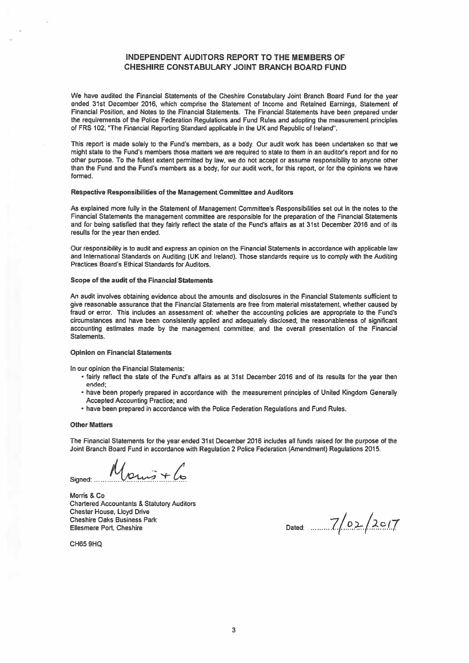## INDEPENDENT AUDITORS REPORT TO THE MEMBERS OF CHESHIRE CONSTABULARY JOINT BRANCH BOARD FUND

We have audited the Financial Statements of the Cheshire Constabulary Joint Branch Board Fund for the year ended 31st December 2016, which comprise the Statement of Income and Retained Earnings, Statement of Financial Position, and Notes to the Financial Statements. The Financial Statements have been prepared under the requirements of the Police Federation Regulations and Fund Rules and adopting the measurement principles of FRS 102, "The Financial Reporting Standard applicable in the UK and Republic of Ireland".

This repor<sup>t</sup> is made solely to the Fund's members, as <sup>a</sup> body. Our audit work has been undertaken so that we might state to the Fund's members those matters we are required to state to them in an auditor's report and for no other purpose. To the fullest extent permitted by law, we do not accep<sup>t</sup> or assume responsibility to anyone other than the Fund and the Fund's members as <sup>a</sup> body, for our audit work, for this report, or for the opinions we have formed.

### Respective Responsibilities of the Management Committee and Auditors

As explained more fully in the Statement of Management Committee's Responsibilities set out in the notes to the Financial Statements the managemen<sup>t</sup> committee are responsible for the preparation of the Financial Statements and for being satisfied that they fairly reflect the state of the Fund's affairs as at 31st December 2016 and of its results for the year then ended.

Our responsibility is to audit and express an opinion on the Financial Statements in accordance with applicable law and Intemational Standards on Auditing (UK and Ireland). Those standards require us to comply with the Auditing Practices Board's Ethical Standards for Auditors.

### Scope of the audit of the Financial Statements

An audit involves obtaining evidence about the amounts and disclosures in the Financial Statements sufficient to give reasonable assurance that the Financial Statements are free from material misstatement, whether caused by fraud or error. This includes an assessment of: whether the accounting policies are appropriate to the Fund's circumstances and have been consistently applied and adequately disclosed; the reasonableness of significant accounting estimates made by the managemen<sup>t</sup> committee; and the overall presentation of the Financial Statements.

### Opinion on Financial Statements

In our opinion the Financial Statements:

- fairly reflect the state of the Fund's affairs as at 31st December 2016 and of its results for the year then ended;
- have been properly prepared in accordance with the measurement principles of United Kingdom Generally Accepted Accounting Practice; and
- have been prepared in accordance with the Police Federation Regulations and Fund Rules.

### **Other Matters**

The Financial Statements for the year ended 31st December 2016 includes all funds raised for the purpose of the Joint Branch Board Fund in accordance with Regulation 2 Police Federation (Amendment) Regulations 2015.

Signed:  $M_{\text{Quu}j} + l$ 

Morris & Co Chartered Accountants & Statutory Auditors Chester House, Lloyd Drive **Cheshire Oaks Business Park** Ellesmere Port, Cheshire

Dated:  $7/02/2017$ 

CH65 9H0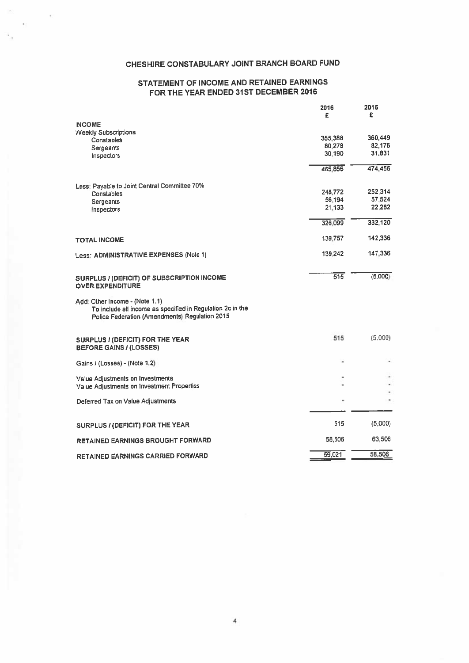## CHESHIRE CONSTABULARY JOINT BRANCH BOARD FUND

## STATEMENT OF INCOME AND RETAINED EARNINGS FOR THE YEAR ENDED 31ST DECEMBER 2016

|                                                                                                                                                | 2016<br>£        | 2015<br>£         |
|------------------------------------------------------------------------------------------------------------------------------------------------|------------------|-------------------|
| <b>INCOME</b>                                                                                                                                  |                  |                   |
| <b>Weekly Subscriptions</b>                                                                                                                    |                  |                   |
| Constables                                                                                                                                     | 355,388          | 360,449<br>82,176 |
| Sergeants                                                                                                                                      | 80.278<br>30.190 | 31,831            |
| Inspectors                                                                                                                                     |                  |                   |
|                                                                                                                                                | 465,856          | 474,456           |
| Less: Payable to Joint Central Committee 70%                                                                                                   |                  |                   |
| Constables                                                                                                                                     | 248,772          | 252,314           |
| Sergeants                                                                                                                                      | 56.194           | 57,524            |
| <b>Inspectors</b>                                                                                                                              | 21.133           | 22,282            |
|                                                                                                                                                | 326,099          | 332,120           |
| TOTAL INCOME                                                                                                                                   | 139,757          | 142,336           |
| Less: ADMINISTRATIVE EXPENSES (Note 1)                                                                                                         | 139.242          | 147,336           |
| SURPLUS / (DEFICIT) OF SUBSCRIPTION INCOME<br><b>OVER EXPENDITURE</b>                                                                          | 515              | (5,000)           |
| Add: Other Income - (Note 1.1)<br>To include all income as specified in Regulation 2c in the<br>Police Federation (Amendments) Regulation 2015 |                  |                   |
| SURPLUS / (DEFICIT) FOR THE YEAR<br><b>BEFORE GAINS / (LOSSES)</b>                                                                             | 515              | (5,000)           |
| Gains / (Losses) - (Note 1.2)                                                                                                                  |                  |                   |
| Value Adjustments on Investments                                                                                                               |                  |                   |
| Value Adjustments on Investment Properties                                                                                                     |                  |                   |
| Deferred Tax on Value Adjustments                                                                                                              |                  |                   |
|                                                                                                                                                |                  |                   |
| SURPLUS / (DEFICIT) FOR THE YEAR                                                                                                               | 515              | (5,000)           |
| <b>RETAINED EARNINGS BROUGHT FORWARD</b>                                                                                                       | 58,506           | 63,506            |
| <b>RETAINED EARNINGS CARRIED FORWARD</b>                                                                                                       | 59.021           | 58.506            |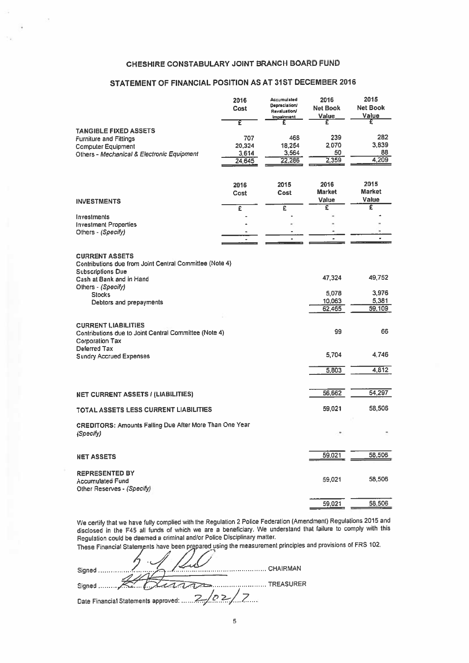## CHESHIRE CONSTABULARY JOINT BRANCH BOARD FUND

## STATEMENT OF FINANCIAL POSITION AS AT 31ST DECEMBER 2016

|                                                                                                                               | 2016<br>Cost<br>Έ | <b>Accumulated</b><br>Depreclation/<br>Revaluation/<br>Impairment.<br>£ | 2016<br><b>Net Book</b><br>Value<br>£ | 2015<br><b>Net Book</b><br>Value<br>£ |
|-------------------------------------------------------------------------------------------------------------------------------|-------------------|-------------------------------------------------------------------------|---------------------------------------|---------------------------------------|
| <b>TANGIBLE FIXED ASSETS</b>                                                                                                  |                   |                                                                         |                                       |                                       |
| <b>Furniture and Fittings</b>                                                                                                 | 707               | 468                                                                     | 239                                   | 282                                   |
| <b>Computer Equipment</b>                                                                                                     | 20,324            | 18,254                                                                  | 2,070                                 | 3.839                                 |
| Others - Mechanical & Electronic Equipment                                                                                    | 3,614             | 3,564                                                                   | 50                                    | 88<br>4,209                           |
|                                                                                                                               | 24.645            | 22,286                                                                  | 2,359                                 |                                       |
|                                                                                                                               | 2016              | 2015                                                                    | 2016                                  | 2015                                  |
|                                                                                                                               | Cost              | Cost                                                                    | <b>Market</b>                         | <b>Market</b><br>Value                |
| <b>INVESTMENTS</b>                                                                                                            | £                 | £                                                                       | Value<br>Ē                            | έ                                     |
| Investments                                                                                                                   |                   |                                                                         |                                       |                                       |
| <b>Investment Properties</b>                                                                                                  |                   |                                                                         |                                       |                                       |
| Others - (Specify)                                                                                                            |                   |                                                                         |                                       |                                       |
|                                                                                                                               | $\overline{a}$    | $\bullet$                                                               | $\ddot{\phantom{a}}$                  | $\bullet$                             |
| <b>CURRENT ASSETS</b><br>Contributions due from Joint Central Committee (Note 4)<br><b>Subscriptions Due</b>                  |                   |                                                                         |                                       |                                       |
| Cash at Bank and in Hand<br>Others - (Specify)                                                                                |                   |                                                                         | 47,324                                | 49,752                                |
| <b>Stocks</b>                                                                                                                 |                   |                                                                         | 5.078                                 | 3.976                                 |
| Debtors and prepayments                                                                                                       |                   |                                                                         | 10,063                                | 5,381                                 |
|                                                                                                                               |                   |                                                                         | 62,465                                | 59,109                                |
| <b>CURRENT LIABILITIES</b><br>Contributions due to Joint Central Committee (Note 4)<br><b>Corporation Tax</b><br>Deferred Tax |                   |                                                                         | 99                                    | 66                                    |
| <b>Sundry Accrued Expenses</b>                                                                                                |                   |                                                                         | 5,704                                 | 4.746                                 |
|                                                                                                                               |                   |                                                                         | 5,803                                 | 4,812                                 |
|                                                                                                                               |                   |                                                                         | 56,662                                | 54,297                                |
| <b>NET CURRENT ASSETS / (LIABILITIES)</b>                                                                                     |                   |                                                                         |                                       |                                       |
| TOTAL ASSETS LESS CURRENT LIABILITIES                                                                                         |                   |                                                                         | 59,021                                | 58,506                                |
| CREDITORS: Amounts Falling Due After More Than One Year<br>(Specify)                                                          |                   |                                                                         |                                       |                                       |
| <b>NET ASSETS</b>                                                                                                             |                   |                                                                         | 59,021                                | 58,506                                |
| <b>REPRESENTED BY</b><br><b>Accumulated Fund</b><br>Other Reserves - (Specify)                                                |                   |                                                                         | 59.021                                | 58,506                                |
|                                                                                                                               |                   |                                                                         | 59,021                                | 58,506                                |

We certify that we have fully complied with the Regulation <sup>2</sup> Police Federation (Amendment) Regulations <sup>2015</sup> and disclosed in the F45 all funds of which we are <sup>a</sup> beneficiary. We understand that failure to comply with this Regulation could be deemed <sup>a</sup> criminal and/or Police Disciplinary matter.

These Financial Statements have been prepared using the measurement principles and provisions of FRS 102.

|                                              | CHAIRMAN |
|----------------------------------------------|----------|
|                                              |          |
| Date Financial Statements approved:  2/02/17 |          |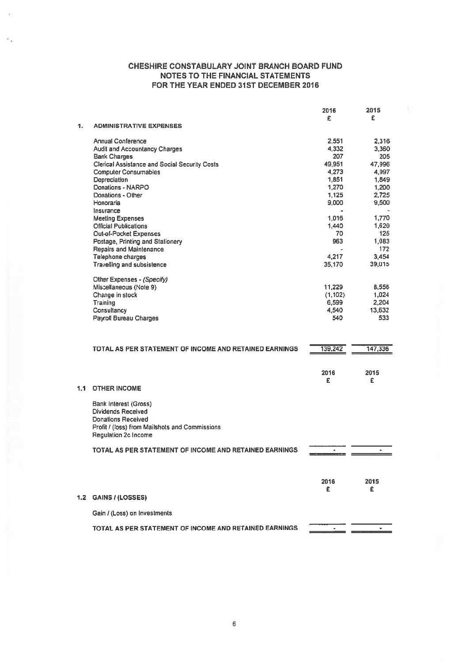|                  |                                                        | 2016           | 2015           |
|------------------|--------------------------------------------------------|----------------|----------------|
|                  |                                                        | £              | £              |
| 1.               | <b>ADMINISTRATIVE EXPENSES</b>                         |                |                |
|                  |                                                        |                |                |
|                  | Annual Conference                                      | 2,551          | 2,316          |
|                  | <b>Audit and Accountancy Charges</b>                   | 4,332          | 3,360          |
|                  | <b>Bank Charges</b>                                    | 207            | 205            |
|                  | <b>Clerical Assistance and Social Security Costs</b>   | 49,951         | 47.996         |
|                  | <b>Computer Consumables</b>                            | 4,273          | 4,997          |
|                  | Depreciation                                           | 1,851          | 1,849          |
|                  | Donations - NARPO                                      | 1,270          | 1,200          |
|                  | Donations - Other                                      | 1,125          | 2,725          |
|                  | Honoraria                                              | 9,000          | 9,500          |
|                  | Insurance                                              |                |                |
|                  | <b>Meeting Expenses</b>                                | 1,016          | 1,770          |
|                  | <b>Official Publications</b>                           | 1,440          | 1,620          |
|                  |                                                        |                |                |
|                  | <b>Out-of-Pocket Expenses</b>                          | 70             | 125            |
|                  | Postage, Printing and Stationery                       | 963            | 1,083          |
|                  | <b>Repairs and Maintenance</b>                         |                | 172            |
|                  | Telephone charges                                      | 4,217          | 3,454          |
|                  | <b>Travelling and subsistence</b>                      | 35,170         | 39,015         |
|                  |                                                        |                |                |
|                  | Other Expenses - (Specify)                             |                |                |
|                  | Miscellaneous (Note 9)                                 | 11,229         | 8,556          |
|                  | Change in stock                                        | (1, 102)       | 1,024          |
|                  | Training                                               | 6,599          | 2,204          |
|                  | Consultancy                                            | 4,540          | 13,632         |
|                  | Payroll Bureau Charges                                 | 540            | 533            |
|                  | TOTAL AS PER STATEMENT OF INCOME AND RETAINED EARNINGS | 139,242        | 147,336        |
|                  |                                                        |                |                |
|                  |                                                        |                |                |
|                  |                                                        | 2016           | 2015           |
|                  |                                                        | £              | £              |
| 1.1              | <b>OTHER INCOME</b>                                    |                |                |
|                  |                                                        |                |                |
|                  | Bank Interest (Gross)                                  |                |                |
|                  | <b>Dividends Received</b>                              |                |                |
|                  | <b>Donations Received</b>                              |                |                |
|                  | Profit / (loss) from Mailshots and Commissions         |                |                |
|                  | Regulation 2c Income                                   |                |                |
|                  |                                                        |                |                |
|                  | TOTAL AS PER STATEMENT OF INCOME AND RETAINED EARNINGS | $\blacksquare$ | $\blacksquare$ |
|                  |                                                        |                |                |
|                  |                                                        |                |                |
|                  |                                                        |                |                |
|                  |                                                        | 2016           | 2015           |
|                  |                                                        | £              | £              |
| 1.2 <sub>1</sub> | <b>GAINS / (LOSSES)</b>                                |                |                |
|                  |                                                        |                |                |
|                  | Gain / (Loss) on Investments                           |                |                |
|                  |                                                        |                |                |
|                  | TOTAL AS PER STATEMENT OF INCOME AND RETAINED EARNINGS |                |                |
|                  |                                                        |                |                |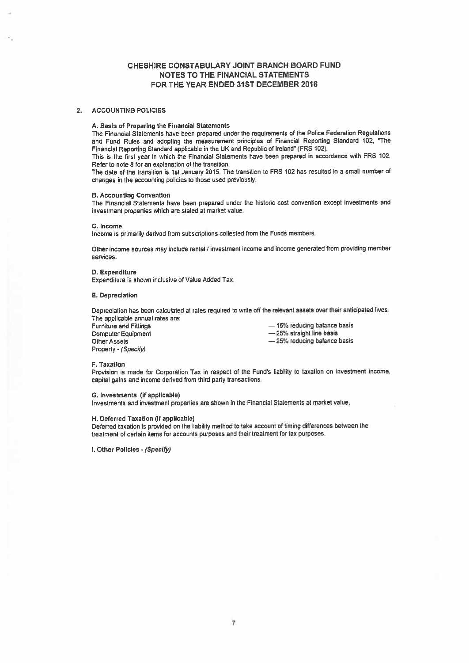## 2. ACCOUNTING POLICIES

## A. Basis of Preparing the Financial Statements

The Financial Statements have been prepared under the requirements of the Police Federation Regulations and Fund Rules and adopting the measurement principles of Financial Reporting Standard 102, "The Financial Reporting Standard applicable in the UK and Republic of Ireland" (FRS 102).

This is the first year in which the Financial Statements have been prepare<sup>d</sup> in accordance with FRS 102. Refer to note 8 for an explanation of the transition.

The date of the transition is 1st January 2015. The transition to FRS 102 has resulted in a small number of changes in the accounling policies to those used previously.

### B. Accounting Convention

The Financial Statements have been prepare<sup>d</sup> under the historic cost convention excep<sup>t</sup> investments and investment properties which are stated at market value.

#### C. Income

Income is primarily derived from subscriptions collected from the Funds members.

Other income sources may include rental? investment income and income generated from providing member services.

### 0. Expenditure

Expenditure is shown inclusive of Value Added Tax.

#### E. Depreciation

Depreciation has been calculated at rates required to write off the re'evant assets over their anticipated lives. The applicable annual rates are:

| <b>Furniture and Fittings</b> | -15% reducing balance basis |
|-------------------------------|-----------------------------|
| <b>Computer Equipment</b>     | -25% straight line basis    |
| Other Assets                  | -25% reducing balance basis |
| Property - (Specify)          |                             |

#### F. Taxation

Provision is made for Corporation Tax in respec<sup>t</sup> of the Fund's liability to taxation on investment income, capital gains and income derived from third party transactions.

#### G. Investments (if applicable)

Investments and investment properties are shown in the Financial Statements at market value.

#### H. Deferred Taxation (if applicable)

Deferred taxation is provided on the liability method to take account of timing differences between the treatment of certain items for accounts purposes ard their treatment for tax purposes.

I. Other Policies - (Specify)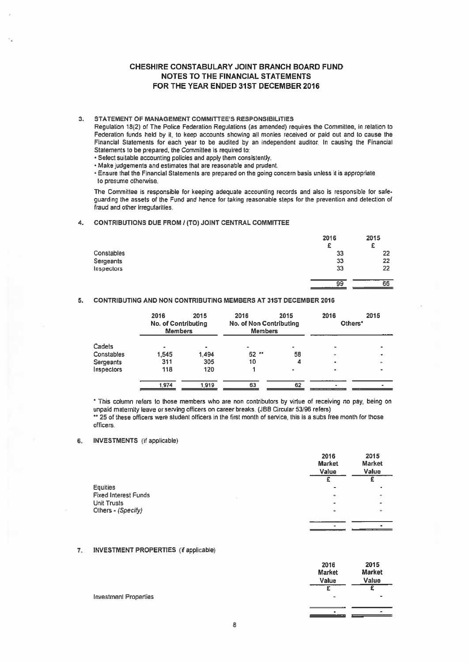## 3. STATEMENT OF MANAGEMENT COMMITTEE'S RESPONSIBILITIES

## 4. CONTRIBUTIONS DUE FROM / (TO) JOINT CENTRAL COMMITTEE

|                                                                                                                                                                                                                                                        |                                                                                                                                                                                                                                                                                                                                                                                                                                                                                                                                                                                                                                                                                                             |      |      | <b>CHESHIRE CONSTABULARY JOINT BRANCH BOARD FUND</b><br><b>NOTES TO THE FINANCIAL STATEMENTS</b><br>FOR THE YEAR ENDED 31ST DECEMBER 2016 |                                   |                                   |
|--------------------------------------------------------------------------------------------------------------------------------------------------------------------------------------------------------------------------------------------------------|-------------------------------------------------------------------------------------------------------------------------------------------------------------------------------------------------------------------------------------------------------------------------------------------------------------------------------------------------------------------------------------------------------------------------------------------------------------------------------------------------------------------------------------------------------------------------------------------------------------------------------------------------------------------------------------------------------------|------|------|-------------------------------------------------------------------------------------------------------------------------------------------|-----------------------------------|-----------------------------------|
| to presume otherwise.                                                                                                                                                                                                                                  | <b>STATEMENT OF MANAGEMENT COMMITTEE'S RESPONSIBILITIES</b><br>Regulation 18(2) of The Police Federation Regulations (as amended) requires the Committee, in relation to<br>Federation funds held by it, to keep accounts showing all monies received or paid out and to cause the<br>Financial Statements for each year to be audited by an independent auditor. In causing the Financial<br>Statements to be prepared, the Committee is required to:<br>· Select suitable accounting policies and apply them consistently.<br>• Make judgements and estimates that are reasonable and prudent.<br>. Ensure that the Financial Statements are prepared on the going concern basis unless it is appropriate |      |      |                                                                                                                                           |                                   |                                   |
| The Committee is responsible for keeping adequate accounting records and also is responsible for safe-<br>guarding the assets of the Fund and hence for taking reasonable steps for the prevention and detection of<br>fraud and other irregularities. |                                                                                                                                                                                                                                                                                                                                                                                                                                                                                                                                                                                                                                                                                                             |      |      |                                                                                                                                           |                                   |                                   |
| <b>CONTRIBUTIONS DUE FROM / (TO) JOINT CENTRAL COMMITTEE</b>                                                                                                                                                                                           |                                                                                                                                                                                                                                                                                                                                                                                                                                                                                                                                                                                                                                                                                                             |      |      |                                                                                                                                           |                                   |                                   |
| Constables<br><b>Sergeants</b><br>Inspectors                                                                                                                                                                                                           |                                                                                                                                                                                                                                                                                                                                                                                                                                                                                                                                                                                                                                                                                                             |      |      |                                                                                                                                           | 2016<br>£<br>33<br>33<br>33<br>99 | 2015<br>£<br>22<br>22<br>22<br>66 |
| <b>CONTRIBUTING AND NON CONTRIBUTING MEMBERS AT 31ST DECEMBER 2016</b>                                                                                                                                                                                 |                                                                                                                                                                                                                                                                                                                                                                                                                                                                                                                                                                                                                                                                                                             |      |      |                                                                                                                                           |                                   |                                   |
|                                                                                                                                                                                                                                                        | 2016<br>No. of Contributing<br><b>Members</b>                                                                                                                                                                                                                                                                                                                                                                                                                                                                                                                                                                                                                                                               | 2015 | 2016 | 2015<br><b>No. of Non Contributing</b><br><b>Members</b>                                                                                  | 2016<br>Others <sup>*</sup>       | 2015                              |

## 5. CONTRIBUTING AND NON CONTRIBUTING MEMBERS AT 31ST DECEMBER 2016

|            | 2016<br>No. of Contributing<br><b>Members</b> | 2015  | 2016<br><b>No. of Non Contributing</b><br><b>Members</b> | 2015                     | 2016<br>Others* | 2015 |
|------------|-----------------------------------------------|-------|----------------------------------------------------------|--------------------------|-----------------|------|
| Cadets     | ÷                                             | ٠     | ۰                                                        | $\overline{\phantom{a}}$ | -               |      |
| Constables | 1,545                                         | 1.494 | $52$ **                                                  | 58                       | $\,$            | ۰    |
| Sergeants  | 311                                           | 305   | 10                                                       |                          | ۰               | ٠    |
| Inspectors | 118                                           | 120   |                                                          | $\bullet$                | ۰               |      |
|            | 1.974                                         | 1,919 | 63                                                       | 62                       |                 |      |

\* This column refers to those members who are non contributors by virtue of receiving no pay, being on unpaid maternity leave or serving officers on career breaks. (JBB Circular 53196 refers) \*\* 25 of these officers were student officers in the first month of service, this is <sup>a</sup> subs free month for those officers.

2016 2015

## 6. INVESTMENTS (if applicable)

|                             | Market<br>Value | <b>Market</b><br>Value |
|-----------------------------|-----------------|------------------------|
|                             |                 |                        |
| <b>Equities</b>             | ۰               | ٠                      |
| <b>Fixed Interest Funds</b> | ٠               | ٠                      |
| <b>Unit Trusts</b>          | ۰               | $\sim$                 |
| Others - (Specify)          | ٠               | $\hat{\phantom{a}}$    |
|                             |                 |                        |
|                             |                 | $\sim$                 |

### 7. INVESTMENT PROPERTIES (if applicable)

**Investment** 

|                   | 2016<br><b>Market</b><br>Value | 2015<br><b>Market</b><br>Value |
|-------------------|--------------------------------|--------------------------------|
|                   |                                |                                |
| <b>Properties</b> | ۰                              | ٠                              |
|                   |                                |                                |
|                   | ۰                              |                                |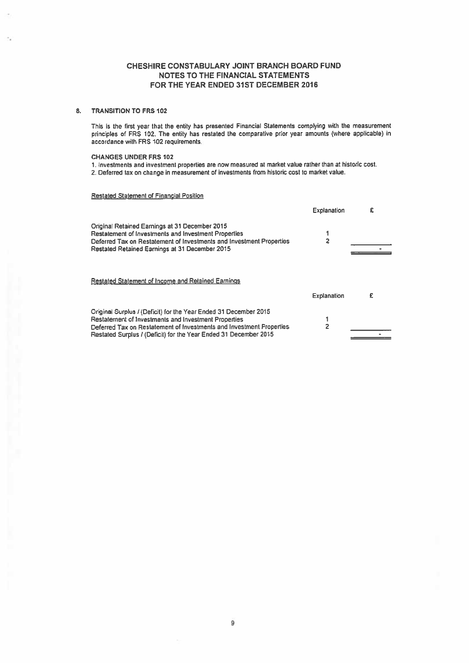## 8. TRANSITION TO FRS 102

This is the first year that the entity has presented Financial Statements complying with the measurement princples of FRS 102. The entity has restated the comparative prior year amounts (where applicable) in accordance with FRS 102 requirements.

## CHANGES UNDER FRS 102

1. investments and investment properties are row measured at market value rather than at historic cost. 2. Deferred tax on change in measurement of investments from historic cost to market valua

Restated Statement of Financial Position

|                                                                                                                                                                                                                                                                      | <b>Explanation</b> | £ |
|----------------------------------------------------------------------------------------------------------------------------------------------------------------------------------------------------------------------------------------------------------------------|--------------------|---|
| Original Retained Earnings at 31 December 2015<br>Restatement of Investments and Investment Properties<br>Deferred Tax on Restatement of Investments and Investment Properties<br>Restated Retained Earnings at 31 December 2015                                     | 2                  |   |
| <b>Restated Statement of Income and Retained Earnings</b>                                                                                                                                                                                                            | <b>Explanation</b> |   |
| Original Surplus / (Deficit) for the Year Ended 31 December 2015<br>Restatement of Investments and Investment Properties<br>Deferred Tax on Restatement of Investments and Investment Properties<br>Restated Surplus / (Deficit) for the Year Ended 31 December 2015 | 2                  |   |

9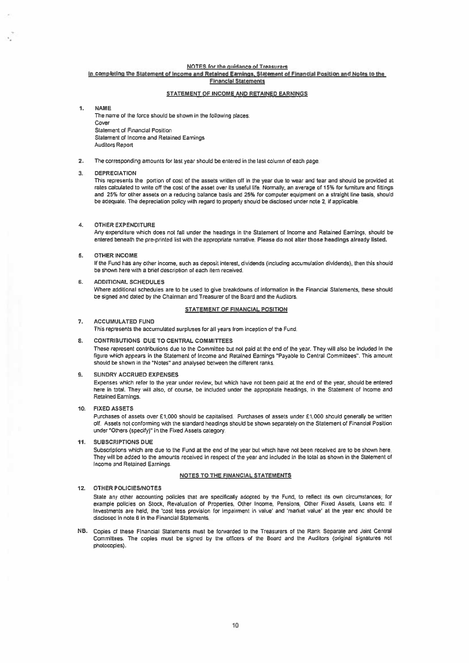## NOTES for the guidance of Treasurers

#### In completing the Statement of Income and RetaIned Earnings, Statement of Financial Position and Notes to the Financial Statements

### STATEMENT OF INCOME AND RETAINED EARNINGS

 $\blacksquare$ NAME

> The name of the force should be shown in the following places: Cover Statement of Financial Position Statement of Income and Retained Earnings Auditors Report

2. The corresponding amounts for last year should be entered in the last column of each page.

#### 3. DEPRECIATION

This represents the portion of cost of the assets wrilten off in the year due to wear and tear and should be provided at rates calculated to write off the cost of the asset over its useful life. Normally, an average of 15% for furniture and fittings and 25% for other assets on <sup>a</sup> reducing balance basis and 25% for computer equipment on <sup>a</sup> straight line basis, should be adequate. The depreciation policy with regard to property should be disclosed under note 2, if applicable.

### 4. OTHER EXPENDITURE

Any expenditure which does not fall under the headings in the Statement of Income and Retained Eamings, should be entered beneath the pre-printed list with the appropriate narrative, Please do not alter those headings already listed.

## 5. OTHER INCOME

If the Fund has any other income, such as deposit interest, dividends (including accumulation dividends), then this should be shown here with <sup>a</sup> brief description of each item received.

6. ADDITIONAL SCHEDULES Where additional schedules are to be used to give breakdowns of information in the Financial Statements, these should be signed and dated by the Chairman and Treasurer of the Board and the Auditors.

#### STATEMENT OF FINANCIAL POSITION

### 7. ACCUMULATED FUND

This represents the accumulated surpluses for all years from inception of the Fund,

## 8. CONTRIBUTIONS DUE TO CENTRAL COMMITTEES

These represen<sup>t</sup> contributions due to the Committee but not paid at the end of the year. They will also be included in the figure which appears in the Statement of income and Retained Earnings "Payable to Central Committees". This amount should be shown in the "Notes" and analysed between the different ranks,

### 9. SUNDRY ACCRUED EXPENSES

Expenses which refer to the year under review, but which have not been paid at the end of the year, should be entered here in total, They will also, of course, be included under the appropriate headings, in the Statement of Income and Retained Earnings.

#### 10, FIXED ASSETS

Purchases of assets over £1,000 should be capitalised. Purchases of assets under E1,000 should generally be written off, Assets not conforming with the standard headings should be shown separately on the Statement of Financial Position under "Others (specify)" In the Fixed Assets category

### 11. SUBSCRIPTIONS DUE

Subscriptions which are due to the Fund at the end of the year but which have not been received are to be shown here. They will be added to the amounts received in respec<sup>t</sup> of the year and included in the total as shown in the Statement of Income and Retained Earnings.

#### NOTES TO THE FINANCIAL STATEMENTS

### 12. OTHER POLICIES/NOTES

State any other accounting policies that are specifically adopted by the Fund, to reflect its own circumstances; for example policies on Stock, Revaluation of Properties, Other Income, Pensions, Other Fixed Assets, Loans etc. If Investments are held, the 'cost less provision for impairment in value' and 'market value' at the year end should be disclosed in note Sin the Financial Statements.

NB. Copies of these Financial Statements must be forwarded to the Treasurers of the Rank Separate and Joint Central Committees, The copies must be signed by the officers of the Board and the Auditors (original signatures not photocopies).